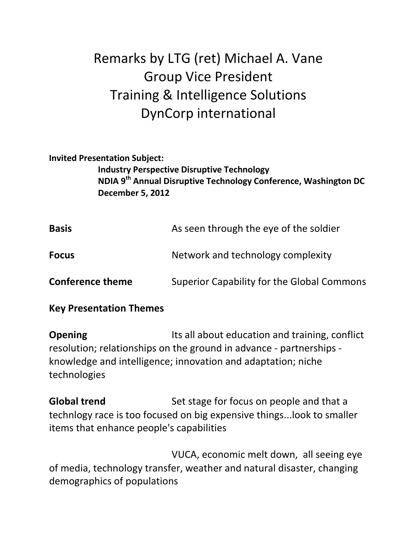## Remarks by LTG (ret) Michael A. Vane Group Vice President Training & Intelligence Solutions DynCorp international

## **Invited Presentation Subject:**

**Industry Perspective Disruptive Technology NDIA 9th Annual Disruptive Technology Conference, Washington DC December 5, 2012**

| <b>Basis</b>            | As seen through the eye of the soldier     |
|-------------------------|--------------------------------------------|
| <b>Focus</b>            | Network and technology complexity          |
| <b>Conference theme</b> | Superior Capability for the Global Commons |

## **Key Presentation Themes**

**Opening** Its all about education and training, conflict resolution; relationships on the ground in advance - partnerships knowledge and intelligence; innovation and adaptation; niche technologies

**Global trend** Set stage for focus on people and that a technlogy race is too focused on big expensive things...look to smaller items that enhance people's capabilities

 VUCA, economic melt down, all seeing eye of media, technology transfer, weather and natural disaster, changing demographics of populations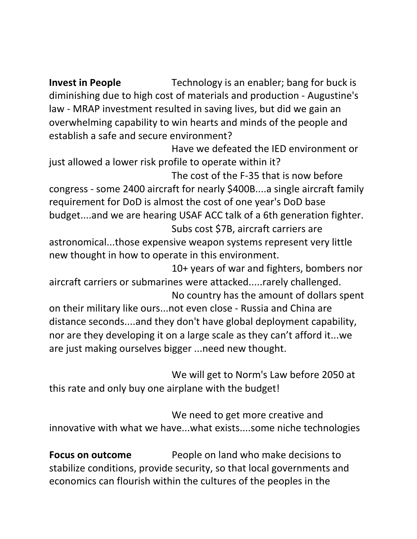**Invest in People** Technology is an enabler; bang for buck is diminishing due to high cost of materials and production - Augustine's law - MRAP investment resulted in saving lives, but did we gain an overwhelming capability to win hearts and minds of the people and establish a safe and secure environment?

Have we defeated the IED environment or just allowed a lower risk profile to operate within it?

The cost of the F-35 that is now before congress - some 2400 aircraft for nearly \$400B....a single aircraft family requirement for DoD is almost the cost of one year's DoD base budget....and we are hearing USAF ACC talk of a 6th generation fighter. Subs cost \$7B, aircraft carriers are

astronomical...those expensive weapon systems represent very little new thought in how to operate in this environment.

10+ years of war and fighters, bombers nor aircraft carriers or submarines were attacked.....rarely challenged.

No country has the amount of dollars spent on their military like ours...not even close - Russia and China are distance seconds....and they don't have global deployment capability, nor are they developing it on a large scale as they can't afford it...we are just making ourselves bigger ...need new thought.

We will get to Norm's Law before 2050 at this rate and only buy one airplane with the budget!

We need to get more creative and innovative with what we have...what exists....some niche technologies

**Focus on outcome** People on land who make decisions to stabilize conditions, provide security, so that local governments and economics can flourish within the cultures of the peoples in the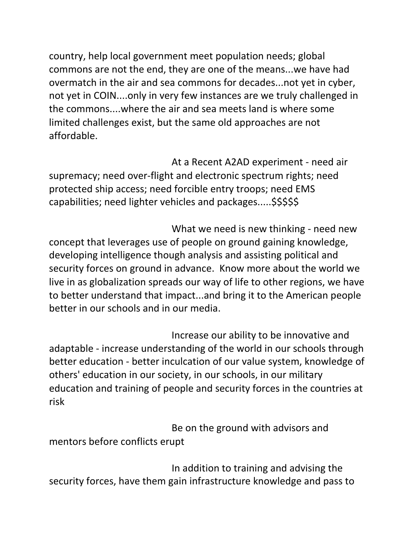country, help local government meet population needs; global commons are not the end, they are one of the means...we have had overmatch in the air and sea commons for decades...not yet in cyber, not yet in COIN....only in very few instances are we truly challenged in the commons....where the air and sea meets land is where some limited challenges exist, but the same old approaches are not affordable.

At a Recent A2AD experiment - need air supremacy; need over-flight and electronic spectrum rights; need protected ship access; need forcible entry troops; need EMS capabilities; need lighter vehicles and packages.....\$\$\$\$\$

What we need is new thinking - need new concept that leverages use of people on ground gaining knowledge, developing intelligence though analysis and assisting political and security forces on ground in advance. Know more about the world we live in as globalization spreads our way of life to other regions, we have to better understand that impact...and bring it to the American people better in our schools and in our media.

Increase our ability to be innovative and adaptable - increase understanding of the world in our schools through better education - better inculcation of our value system, knowledge of others' education in our society, in our schools, in our military education and training of people and security forces in the countries at risk

 Be on the ground with advisors and mentors before conflicts erupt

In addition to training and advising the security forces, have them gain infrastructure knowledge and pass to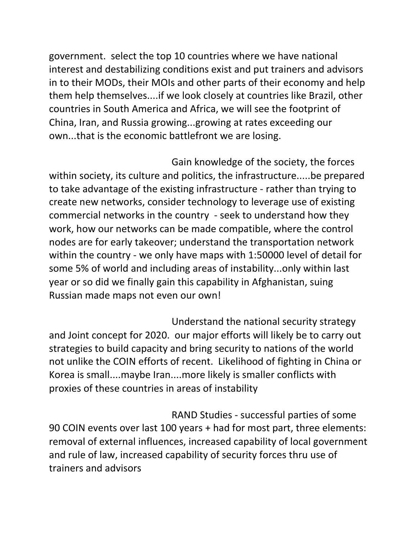government. select the top 10 countries where we have national interest and destabilizing conditions exist and put trainers and advisors in to their MODs, their MOIs and other parts of their economy and help them help themselves....if we look closely at countries like Brazil, other countries in South America and Africa, we will see the footprint of China, Iran, and Russia growing...growing at rates exceeding our own...that is the economic battlefront we are losing.

 Gain knowledge of the society, the forces within society, its culture and politics, the infrastructure.....be prepared to take advantage of the existing infrastructure - rather than trying to create new networks, consider technology to leverage use of existing commercial networks in the country - seek to understand how they work, how our networks can be made compatible, where the control nodes are for early takeover; understand the transportation network within the country - we only have maps with 1:50000 level of detail for some 5% of world and including areas of instability...only within last year or so did we finally gain this capability in Afghanistan, suing Russian made maps not even our own!

Understand the national security strategy and Joint concept for 2020. our major efforts will likely be to carry out strategies to build capacity and bring security to nations of the world not unlike the COIN efforts of recent. Likelihood of fighting in China or Korea is small....maybe Iran....more likely is smaller conflicts with proxies of these countries in areas of instability

 RAND Studies - successful parties of some 90 COIN events over last 100 years + had for most part, three elements: removal of external influences, increased capability of local government and rule of law, increased capability of security forces thru use of trainers and advisors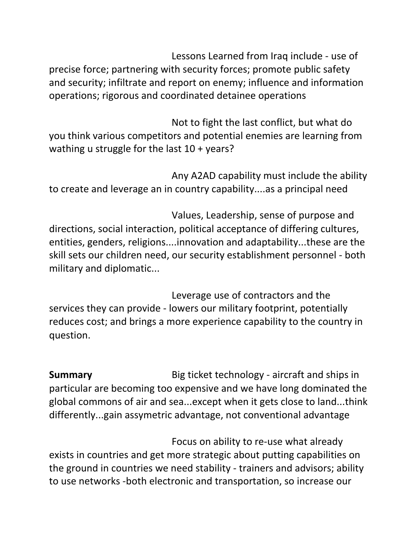Lessons Learned from Iraq include - use of precise force; partnering with security forces; promote public safety and security; infiltrate and report on enemy; influence and information operations; rigorous and coordinated detainee operations

Not to fight the last conflict, but what do you think various competitors and potential enemies are learning from wathing u struggle for the last 10 + years?

 Any A2AD capability must include the ability to create and leverage an in country capability....as a principal need

Values, Leadership, sense of purpose and directions, social interaction, political acceptance of differing cultures, entities, genders, religions....innovation and adaptability...these are the skill sets our children need, our security establishment personnel - both military and diplomatic...

Leverage use of contractors and the services they can provide - lowers our military footprint, potentially reduces cost; and brings a more experience capability to the country in question.

**Summary** Big ticket technology - aircraft and ships in particular are becoming too expensive and we have long dominated the global commons of air and sea...except when it gets close to land...think differently...gain assymetric advantage, not conventional advantage

 Focus on ability to re-use what already exists in countries and get more strategic about putting capabilities on the ground in countries we need stability - trainers and advisors; ability to use networks -both electronic and transportation, so increase our